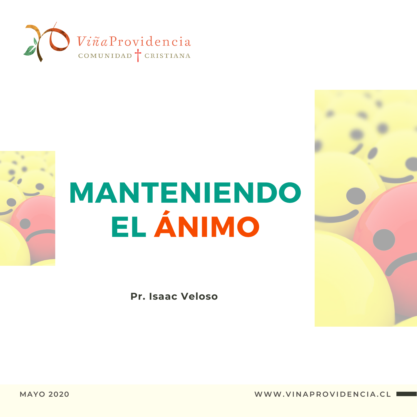



**Pr. Isaac Veloso**



**MAYO 2020 WWW. V I N A P R O V I D E N C I A . C L**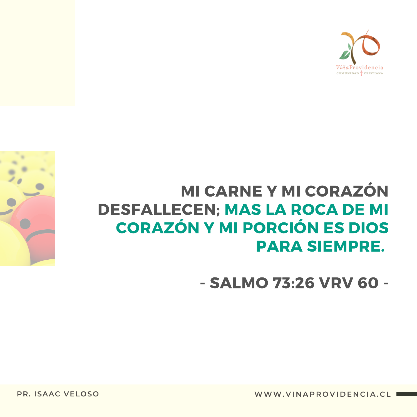



#### MI CARNE Y MI CORAZÓN DESFALLECEN; MAS LA ROCA DE MI CORAZÓN Y MI PORCIÓN ES DIOS PARA SIEMPRE.

- SALMO 73:26 VRV 60 -

**PR. ISAAC VELOSO WWW. V I N A P R O V I D E N C I A . C L**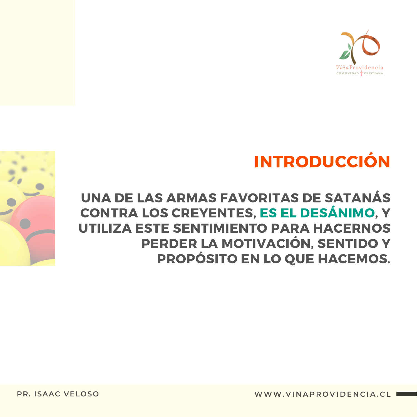

# INTRODUCCIÓN

#### UNA DE LAS ARMAS FAVORITAS DE SATANÁS CONTRA LOS CREYENTES, ES EL DESÁNIMO, Y UTILIZA ESTE SENTIMIENTO PARA HACERNOS PERDER LA MOTIVACIÓN, SENTIDO Y PROPÓSITO EN LO QUE HACEMOS.

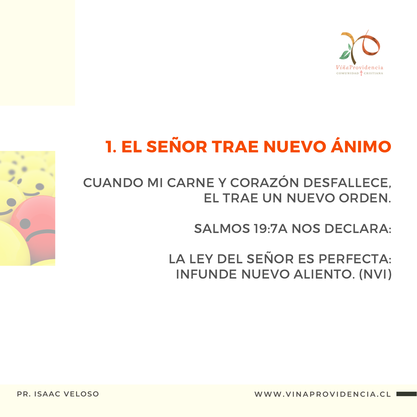

# 1. EL SEÑOR TRAE NUEVO ÁNIMO

CUANDO MI CARNE Y CORAZÓN DESFALLECE, EL TRAE UN NUEVO ORDEN.

SALMOS 19:7A NOS DECLARA:

LA LEY DEL SEÑOR ES PERFECTA: INFUNDE NUEVO ALIENTO. (NVI)

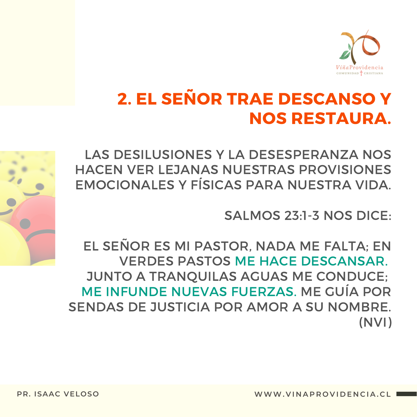

### 2. EL SEÑOR TRAE DESCANSO Y NOS RESTAURA.



SALMOS 23:1-3 NOS DICE:

EL SEÑOR ES MI PASTOR, NADA ME FALTA; EN VERDES PASTOS ME HACE DESCANSAR. JUNTO A TRANQUILAS AGUAS ME CONDUCE; ME INFUNDE NUEVAS FUERZAS. ME GUÍA POR SENDAS DE JUSTICIA POR AMOR A SU NOMBRE. (NVI)

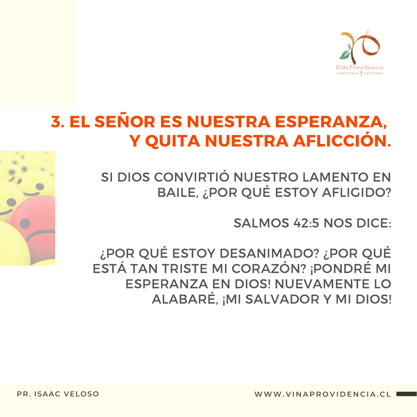

## 3. EL SEÑOR ES NUESTRA ESPERANZA, Y QUITA NUESTRA AFLICCIÓN.

SI DIOS CONVIRTIÓ NUESTRO LAMENTO EN BAILE, ¿POR QUÉ ESTOY AFLIGIDO?

SALMOS 42:5 NOS DICE:

¿POR QUÉ ESTOY DESANIMADO? ¿POR QUÉ ESTÁ TAN TRISTE MI CORAZÓN? ¡PONDRÉ MI ESPERANZA EN DIOS! NUEVAMENTE LO ALABARÉ, ¡MI SALVADOR Y MI DIOS!



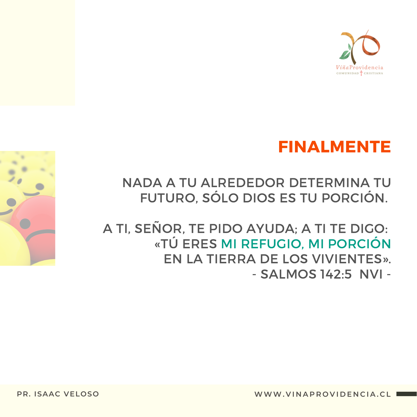



NADA A TU ALREDEDOR DETERMINA TU FUTURO, SÓLO DIOS ES TU PORCIÓN.

A TI, SEÑOR, TE PIDO AYUDA; A TI TE DIGO: «TÚ ERES MI REFUGIO, MI PORCIÓN EN LA TIERRA DE LOS VIVIENTES». - SALMOS 142:5 NVI -